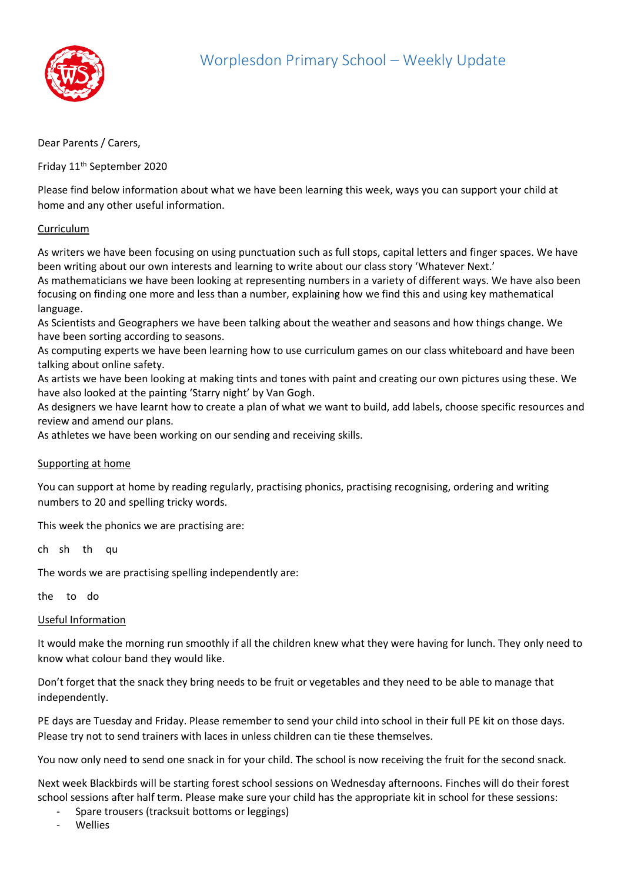

## Dear Parents / Carers,

Friday 11th September 2020

Please find below information about what we have been learning this week, ways you can support your child at home and any other useful information.

## Curriculum

As writers we have been focusing on using punctuation such as full stops, capital letters and finger spaces. We have been writing about our own interests and learning to write about our class story 'Whatever Next.'

As mathematicians we have been looking at representing numbers in a variety of different ways. We have also been focusing on finding one more and less than a number, explaining how we find this and using key mathematical language.

As Scientists and Geographers we have been talking about the weather and seasons and how things change. We have been sorting according to seasons.

As computing experts we have been learning how to use curriculum games on our class whiteboard and have been talking about online safety.

As artists we have been looking at making tints and tones with paint and creating our own pictures using these. We have also looked at the painting 'Starry night' by Van Gogh.

As designers we have learnt how to create a plan of what we want to build, add labels, choose specific resources and review and amend our plans.

As athletes we have been working on our sending and receiving skills.

## Supporting at home

You can support at home by reading regularly, practising phonics, practising recognising, ordering and writing numbers to 20 and spelling tricky words.

This week the phonics we are practising are:

ch sh th qu

The words we are practising spelling independently are:

the to do

## Useful Information

It would make the morning run smoothly if all the children knew what they were having for lunch. They only need to know what colour band they would like.

Don't forget that the snack they bring needs to be fruit or vegetables and they need to be able to manage that independently.

PE days are Tuesday and Friday. Please remember to send your child into school in their full PE kit on those days. Please try not to send trainers with laces in unless children can tie these themselves.

You now only need to send one snack in for your child. The school is now receiving the fruit for the second snack.

Next week Blackbirds will be starting forest school sessions on Wednesday afternoons. Finches will do their forest school sessions after half term. Please make sure your child has the appropriate kit in school for these sessions:

- Spare trousers (tracksuit bottoms or leggings)
- **Wellies**